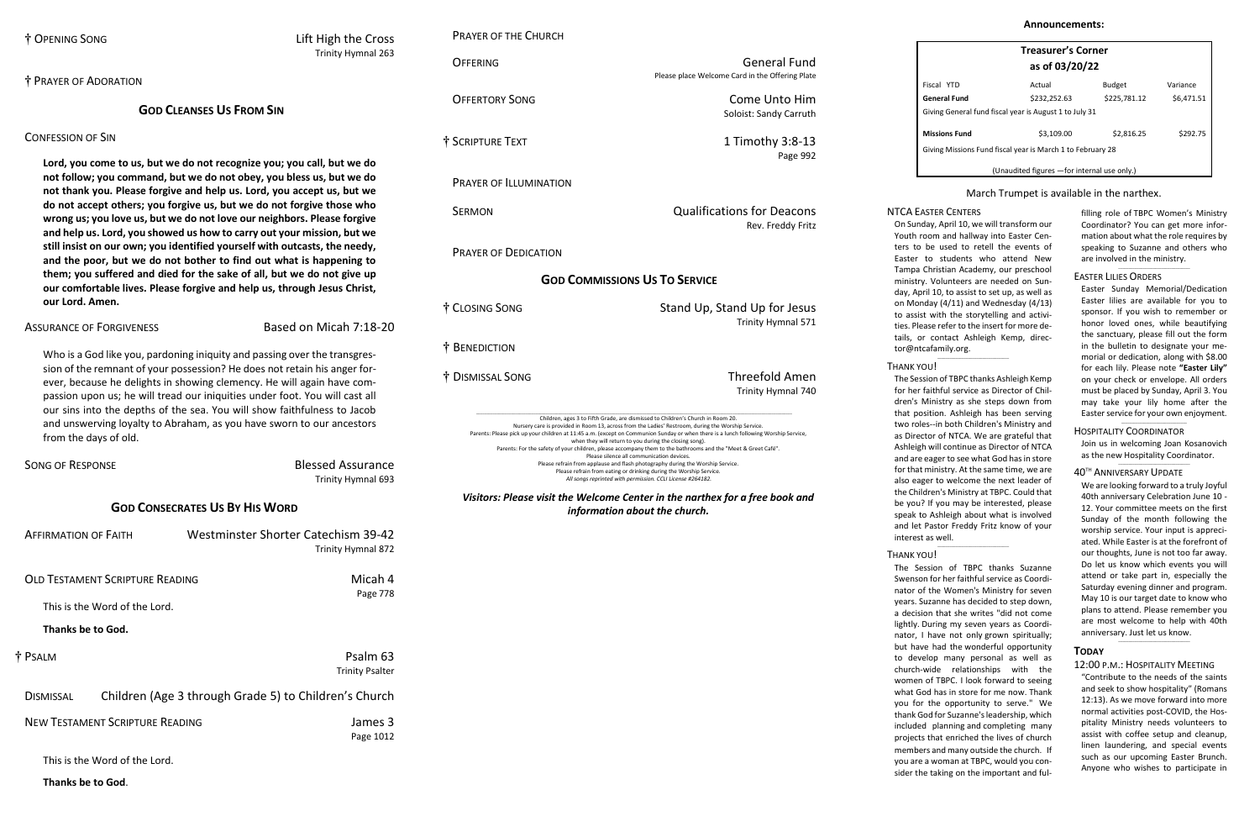# † OPENING SONG Lift High the Cross

Trinity Hymnal 263

# † PRAYER OF ADORATION

# **GOD CLEANSES US FROM SIN**

# CONFESSION OF SIN

**Lord, you come to us, but we do not recognize you; you call, but we do not follow; you command, but we do not obey, you bless us, but we do not thank you. Please forgive and help us. Lord, you accept us, but we do not accept others; you forgive us, but we do not forgive those who wrong us; you love us, but we do not love our neighbors. Please forgive and help us. Lord, you showed us how to carry out your mission, but we still insist on our own; you identified yourself with outcasts, the needy, and the poor, but we do not bother to find out what is happening to them; you suffered and died for the sake of all, but we do not give up our comfortable lives. Please forgive and help us, through Jesus Christ, our Lord. Amen.**

# ASSURANCE OF FORGIVENESS Based on Micah 7:18-20

| <b>SONG OF RESPONSE</b>                | <b>Blessed Assurance</b><br>Trinity Hymnal 693                   |
|----------------------------------------|------------------------------------------------------------------|
|                                        | <b>GOD CONSECRATES US BY HIS WORD</b>                            |
| <b>AFFIRMATION OF FAITH</b>            | <b>Westminster Shorter Catechism 39-42</b><br>Trinity Hymnal 872 |
| <b>OLD TESTAMENT SCRIPTURE READING</b> | Micah 4<br>Page 778                                              |

Who is a God like you, pardoning iniquity and passing over the transgression of the remnant of your possession? He does not retain his anger forever, because he delights in showing clemency. He will again have compassion upon us; he will tread our iniquities under foot. You will cast all our sins into the depths of the sea. You will show faithfulness to Jacob and unswerving loyalty to Abraham, as you have sworn to our ancestors from the days of old.

This is the Word of the Lord.

| <b>OFFERTORY SONG</b>                                                                                                                                                                                                                  | Come Unto Him<br>Soloist: Sandy Carruth                                                                                                                                                                                                                                                                                                                                                                                                                                                                                          |
|----------------------------------------------------------------------------------------------------------------------------------------------------------------------------------------------------------------------------------------|----------------------------------------------------------------------------------------------------------------------------------------------------------------------------------------------------------------------------------------------------------------------------------------------------------------------------------------------------------------------------------------------------------------------------------------------------------------------------------------------------------------------------------|
| † Scripture Text                                                                                                                                                                                                                       | 1 Timothy 3:8-13<br>Page 992                                                                                                                                                                                                                                                                                                                                                                                                                                                                                                     |
| <b>PRAYER OF ILLUMINATION</b>                                                                                                                                                                                                          |                                                                                                                                                                                                                                                                                                                                                                                                                                                                                                                                  |
| <b>SERMON</b>                                                                                                                                                                                                                          | <b>Qualifications for Deacons</b><br>Rev. Freddy Fritz                                                                                                                                                                                                                                                                                                                                                                                                                                                                           |
| <b>PRAYER OF DEDICATION</b>                                                                                                                                                                                                            |                                                                                                                                                                                                                                                                                                                                                                                                                                                                                                                                  |
| <b>GOD COMMISSIONS US TO SERVICE</b>                                                                                                                                                                                                   |                                                                                                                                                                                                                                                                                                                                                                                                                                                                                                                                  |
| † Closing Song                                                                                                                                                                                                                         | Stand Up, Stand Up for Jesus<br>Trinity Hymnal 571                                                                                                                                                                                                                                                                                                                                                                                                                                                                               |
| † BENEDICTION                                                                                                                                                                                                                          |                                                                                                                                                                                                                                                                                                                                                                                                                                                                                                                                  |
| † DISMISSAL SONG                                                                                                                                                                                                                       | <b>Threefold Amen</b><br>Trinity Hymnal 740                                                                                                                                                                                                                                                                                                                                                                                                                                                                                      |
| Nursery care is provided in Room 13, across from the Ladies' Restroom, during the Worship Service.<br>Please refrain from eating or drinking during the Worship Service.<br>All songs reprinted with permission. CCLI License #264182. | Children, ages 3 to Fifth Grade, are dismissed to Children's Church in Room 20.<br>Parents: Please pick up your children at 11:45 a.m. (except on Communion Sunday or when there is a lunch following Worship Service,<br>when they will return to you during the closing song).<br>Parents: For the safety of your children, please accompany them to the bathrooms and the "Meet & Greet Café".<br>Please silence all communication devices.<br>Please refrain from applause and flash photography during the Worship Service. |

**OFFERING General Fund** 

# **Thanks be to God.**

| † PSALM          |                                                       | Psalm 63<br><b>Trinity Psalter</b> |
|------------------|-------------------------------------------------------|------------------------------------|
| <b>DISMISSAL</b> | Children (Age 3 through Grade 5) to Children's Church |                                    |
|                  | <b>NEW TESTAMENT SCRIPTURE READING</b>                | James 3<br>Page 1012               |

This is the Word of the Lord.

**Thanks be to God**.

# PRAYER OF THE CHURCH

Please place Welcome Card in the Offering Plate

as the new Hospitality Coordinator.  $\_$ 

On Sunday, April 10, we will transform our Youth room and hallway into Easter Centers to be used to retell the events of Easter to students who attend New Tampa Christian Academy, our preschool ministry. Volunteers are needed on Sunday, April 10, to assist to set up, as well as on Monday (4/11) and Wednesday (4/13) to assist with the storytelling and activities. Please refer to the insert for more details, or contact Ashleigh Kemp, [direc](mailto:director@ntcafamily.org)[tor@ntcafamily.org.](mailto:director@ntcafamily.org)  $\_$ 

*information about the church.*

| <b>Treasurer's Corner</b> |  |
|---------------------------|--|
| as of 03/20/22            |  |

| Fiscal YTD                                                 | Actual       | <b>Budget</b> | Variance   |
|------------------------------------------------------------|--------------|---------------|------------|
| General Fund                                               | \$232,252.63 | \$225,781.12  | \$6,471.51 |
| Giving General fund fiscal year is August 1 to July 31     |              |               |            |
| <b>Missions Fund</b>                                       | \$3,109.00   | \$2,816.25    | \$292.75   |
| Giving Missions Fund fiscal year is March 1 to February 28 |              |               |            |

(Unaudited figures —for internal use only.)

# March Trumpet is available in the narthex.

filling role of TBPC Women's Ministry Coordinator? You can get more information about what the role requires by speaking to Suzanne and others who are involved in the ministry.

 $\_$ 

#### EASTER LILIES ORDERS

Easter Sunday Memorial/Dedication Easter lilies are available for you to sponsor. If you wish to remember or honor loved ones, while beautifying the sanctuary, please fill out the form in the bulletin to designate your memorial or dedication, along with \$8.00 for each lily. Please note **"Easter Lily"** on your check or envelope. All orders must be placed by Sunday, April 3. You may take your lily home after the Easter service for your own enjoyment.

\_\_\_\_\_\_\_\_\_\_\_\_\_\_\_\_\_\_\_\_\_\_\_\_\_\_\_\_\_\_\_\_

#### HOSPITALITY COORDINATOR Join us in welcoming Joan Kosanovich

# 40 TH ANNIVERSARY UPDATE

We are looking forward to a truly Joyful 40th anniversary Celebration June 10 - 12. Your committee meets on the first Sunday of the month following the worship service. Your input is appreciated. While Easter is at the forefront of our thoughts, June is not too far away. Do let us know which events you will attend or take part in, especially the Saturday evening dinner and program. May 10 is our target date to know who plans to attend. Please remember you are most welcome to help with 40th anniversary. Just let us know.

## **TODAY**

### 12:00 P.M.: HOSPITALITY MEETING

 $\_$ 

"Contribute to the needs of the saints and seek to show hospitality" (Romans 12:13). As we move forward into more normal activities post-COVID, the Hospitality Ministry needs volunteers to assist with coffee setup and cleanup, linen laundering, and special events such as our upcoming Easter Brunch. Anyone who wishes to participate in

# NTCA EASTER CENTERS

## THANK YOU!

The Session of TBPC thanks Ashleigh Kemp for her faithful service as Director of Children's Ministry as she steps down from that position. Ashleigh has been serving two roles--in both Children's Ministry and as Director of NTCA. We are grateful that Ashleigh will continue as Director of NTCA and are eager to see what God has in store for that ministry. At the same time, we are also eager to welcome the next leader of the Children's Ministry at TBPC. Could that be you? If you may be interested, please speak to Ashleigh about what is involved and let Pastor Freddy Fritz know of your interest as well.

 $\_$ 

# THANK YOU!

The Session of TBPC thanks Suzanne Swenson for her faithful service as Coordinator of the Women's Ministry for seven years. Suzanne has decided to step down, a decision that she writes "did not come lightly. During my seven years as Coordinator, I have not only grown spiritually; but have had the wonderful opportunity to develop many personal as well as church-wide relationships with the women of TBPC. I look forward to seeing what God has in store for me now. Thank you for the opportunity to serve." We thank God for Suzanne's leadership, which included planning and completing many projects that enriched the lives of church members and many outside the church. If you are a woman at TBPC, would you consider the taking on the important and ful-